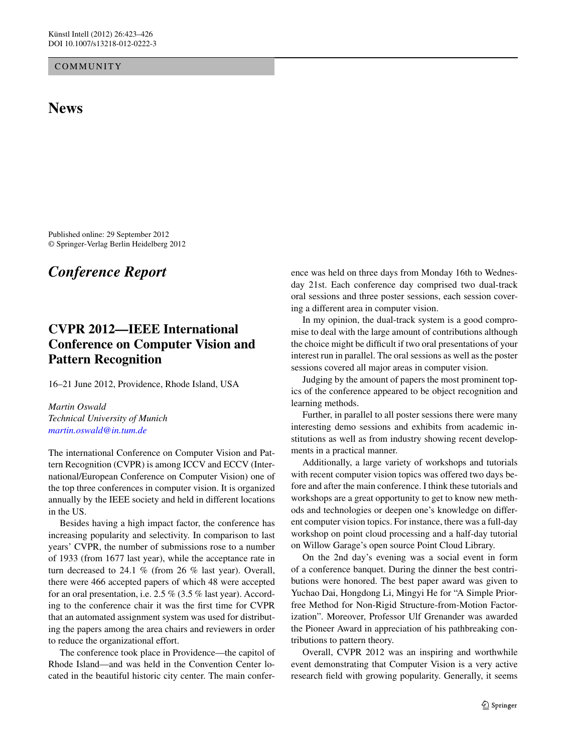#### COMMUNITY

## **News**

Published online: 29 September 2012 © Springer-Verlag Berlin Heidelberg 2012

# *Conference Report*

## **CVPR 2012—IEEE International Conference on Computer Vision and Pattern Recognition**

16–21 June 2012, Providence, Rhode Island, USA

*Martin Oswald Technical University of Munich [martin.oswald@in.tum.de](mailto:martin.oswald@in.tum.de)*

The international Conference on Computer Vision and Pattern Recognition (CVPR) is among ICCV and ECCV (International/European Conference on Computer Vision) one of the top three conferences in computer vision. It is organized annually by the IEEE society and held in different locations in the US.

Besides having a high impact factor, the conference has increasing popularity and selectivity. In comparison to last years' CVPR, the number of submissions rose to a number of 1933 (from 1677 last year), while the acceptance rate in turn decreased to 24.1 % (from 26 % last year). Overall, there were 466 accepted papers of which 48 were accepted for an oral presentation, i.e. 2.5 % (3.5 % last year). According to the conference chair it was the first time for CVPR that an automated assignment system was used for distributing the papers among the area chairs and reviewers in order to reduce the organizational effort.

The conference took place in Providence—the capitol of Rhode Island—and was held in the Convention Center located in the beautiful historic city center. The main conference was held on three days from Monday 16th to Wednesday 21st. Each conference day comprised two dual-track oral sessions and three poster sessions, each session covering a different area in computer vision.

In my opinion, the dual-track system is a good compromise to deal with the large amount of contributions although the choice might be difficult if two oral presentations of your interest run in parallel. The oral sessions as well as the poster sessions covered all major areas in computer vision.

Judging by the amount of papers the most prominent topics of the conference appeared to be object recognition and learning methods.

Further, in parallel to all poster sessions there were many interesting demo sessions and exhibits from academic institutions as well as from industry showing recent developments in a practical manner.

Additionally, a large variety of workshops and tutorials with recent computer vision topics was offered two days before and after the main conference. I think these tutorials and workshops are a great opportunity to get to know new methods and technologies or deepen one's knowledge on different computer vision topics. For instance, there was a full-day workshop on point cloud processing and a half-day tutorial on Willow Garage's open source Point Cloud Library.

On the 2nd day's evening was a social event in form of a conference banquet. During the dinner the best contributions were honored. The best paper award was given to Yuchao Dai, Hongdong Li, Mingyi He for "A Simple Priorfree Method for Non-Rigid Structure-from-Motion Factorization". Moreover, Professor Ulf Grenander was awarded the Pioneer Award in appreciation of his pathbreaking contributions to pattern theory.

Overall, CVPR 2012 was an inspiring and worthwhile event demonstrating that Computer Vision is a very active research field with growing popularity. Generally, it seems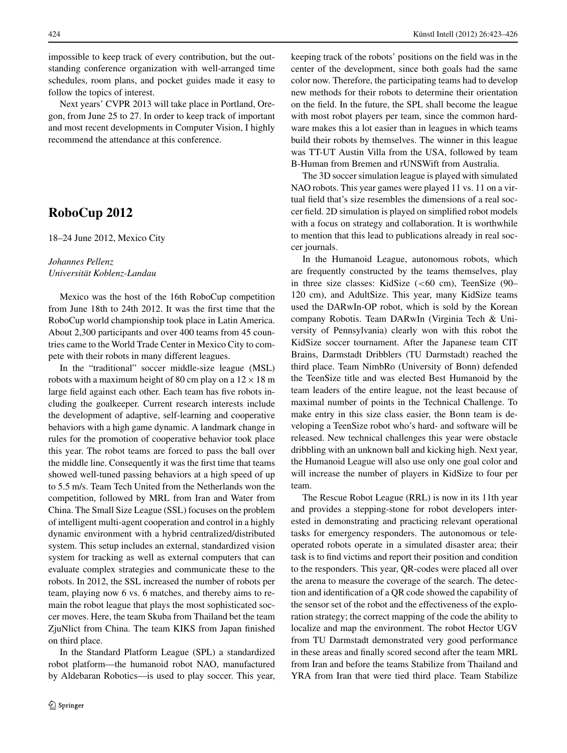impossible to keep track of every contribution, but the outstanding conference organization with well-arranged time schedules, room plans, and pocket guides made it easy to follow the topics of interest.

Next years' CVPR 2013 will take place in Portland, Oregon, from June 25 to 27. In order to keep track of important and most recent developments in Computer Vision, I highly recommend the attendance at this conference.

#### **RoboCup 2012**

18–24 June 2012, Mexico City

#### *Johannes Pellenz Universität Koblenz-Landau*

Mexico was the host of the 16th RoboCup competition from June 18th to 24th 2012. It was the first time that the RoboCup world championship took place in Latin America. About 2,300 participants and over 400 teams from 45 countries came to the World Trade Center in Mexico City to compete with their robots in many different leagues.

In the "traditional" soccer middle-size league (MSL) robots with a maximum height of 80 cm play on a  $12 \times 18$  m large field against each other. Each team has five robots including the goalkeeper. Current research interests include the development of adaptive, self-learning and cooperative behaviors with a high game dynamic. A landmark change in rules for the promotion of cooperative behavior took place this year. The robot teams are forced to pass the ball over the middle line. Consequently it was the first time that teams showed well-tuned passing behaviors at a high speed of up to 5.5 m/s. Team Tech United from the Netherlands won the competition, followed by MRL from Iran and Water from China. The Small Size League (SSL) focuses on the problem of intelligent multi-agent cooperation and control in a highly dynamic environment with a hybrid centralized/distributed system. This setup includes an external, standardized vision system for tracking as well as external computers that can evaluate complex strategies and communicate these to the robots. In 2012, the SSL increased the number of robots per team, playing now 6 vs. 6 matches, and thereby aims to remain the robot league that plays the most sophisticated soccer moves. Here, the team Skuba from Thailand bet the team ZjuNlict from China. The team KIKS from Japan finished on third place.

In the Standard Platform League (SPL) a standardized robot platform—the humanoid robot NAO, manufactured by Aldebaran Robotics—is used to play soccer. This year,

keeping track of the robots' positions on the field was in the center of the development, since both goals had the same color now. Therefore, the participating teams had to develop new methods for their robots to determine their orientation on the field. In the future, the SPL shall become the league with most robot players per team, since the common hardware makes this a lot easier than in leagues in which teams build their robots by themselves. The winner in this league was TT-UT Austin Villa from the USA, followed by team B-Human from Bremen and rUNSWift from Australia.

The 3D soccer simulation league is played with simulated NAO robots. This year games were played 11 vs. 11 on a virtual field that's size resembles the dimensions of a real soccer field. 2D simulation is played on simplified robot models with a focus on strategy and collaboration. It is worthwhile to mention that this lead to publications already in real soccer journals.

In the Humanoid League, autonomous robots, which are frequently constructed by the teams themselves, play in three size classes: KidSize (*<*60 cm), TeenSize (90– 120 cm), and AdultSize. This year, many KidSize teams used the DARwIn-OP robot, which is sold by the Korean company Robotis. Team DARwIn (Virginia Tech & University of Pennsylvania) clearly won with this robot the KidSize soccer tournament. After the Japanese team CIT Brains, Darmstadt Dribblers (TU Darmstadt) reached the third place. Team NimbRo (University of Bonn) defended the TeenSize title and was elected Best Humanoid by the team leaders of the entire league, not the least because of maximal number of points in the Technical Challenge. To make entry in this size class easier, the Bonn team is developing a TeenSize robot who's hard- and software will be released. New technical challenges this year were obstacle dribbling with an unknown ball and kicking high. Next year, the Humanoid League will also use only one goal color and will increase the number of players in KidSize to four per team.

The Rescue Robot League (RRL) is now in its 11th year and provides a stepping-stone for robot developers interested in demonstrating and practicing relevant operational tasks for emergency responders. The autonomous or teleoperated robots operate in a simulated disaster area; their task is to find victims and report their position and condition to the responders. This year, QR-codes were placed all over the arena to measure the coverage of the search. The detection and identification of a QR code showed the capability of the sensor set of the robot and the effectiveness of the exploration strategy; the correct mapping of the code the ability to localize and map the environment. The robot Hector UGV from TU Darmstadt demonstrated very good performance in these areas and finally scored second after the team MRL from Iran and before the teams Stabilize from Thailand and YRA from Iran that were tied third place. Team Stabilize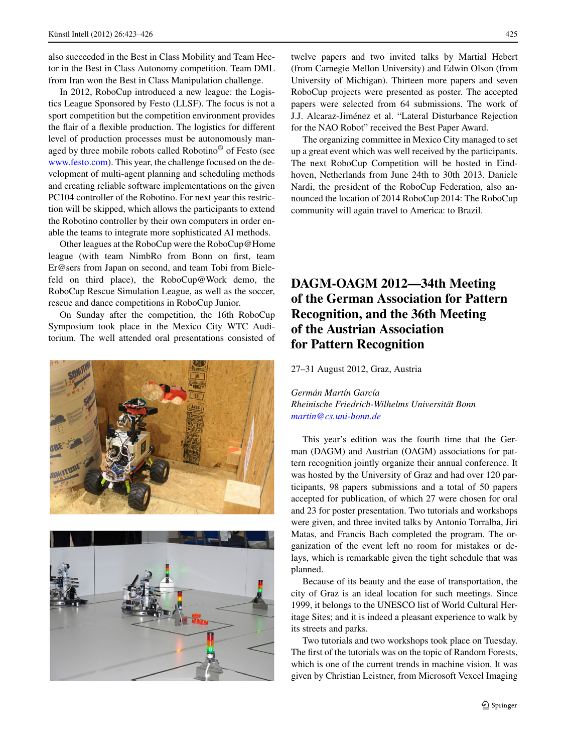also succeeded in the Best in Class Mobility and Team Hector in the Best in Class Autonomy competition. Team DML from Iran won the Best in Class Manipulation challenge.

In 2012, RoboCup introduced a new league: the Logistics League Sponsored by Festo (LLSF). The focus is not a sport competition but the competition environment provides the flair of a flexible production. The logistics for different level of production processes must be autonomously managed by three mobile robots called Robotino® of Festo (see [www.festo.com](http://www.festo.com)). This year, the challenge focused on the development of multi-agent planning and scheduling methods and creating reliable software implementations on the given PC104 controller of the Robotino. For next year this restriction will be skipped, which allows the participants to extend the Robotino controller by their own computers in order enable the teams to integrate more sophisticated AI methods.

Other leagues at the RoboCup were the RoboCup@Home league (with team NimbRo from Bonn on first, team Er@sers from Japan on second, and team Tobi from Bielefeld on third place), the RoboCup@Work demo, the RoboCup Rescue Simulation League, as well as the soccer, rescue and dance competitions in RoboCup Junior.

On Sunday after the competition, the 16th RoboCup Symposium took place in the Mexico City WTC Auditorium. The well attended oral presentations consisted of





twelve papers and two invited talks by Martial Hebert (from Carnegie Mellon University) and Edwin Olson (from University of Michigan). Thirteen more papers and seven RoboCup projects were presented as poster. The accepted papers were selected from 64 submissions. The work of J.J. Alcaraz-Jiménez et al. "Lateral Disturbance Rejection for the NAO Robot" received the Best Paper Award.

The organizing committee in Mexico City managed to set up a great event which was well received by the participants. The next RoboCup Competition will be hosted in Eindhoven, Netherlands from June 24th to 30th 2013. Daniele Nardi, the president of the RoboCup Federation, also announced the location of 2014 RoboCup 2014: The RoboCup community will again travel to America: to Brazil.

### **DAGM-OAGM 2012—34th Meeting of the German Association for Pattern Recognition, and the 36th Meeting of the Austrian Association for Pattern Recognition**

27–31 August 2012, Graz, Austria

*Germán Martín García Rheinische Friedrich-Wilhelms Universität Bonn [martin@cs.uni-bonn.de](mailto:martin@cs.uni-bonn.de)*

This year's edition was the fourth time that the German (DAGM) and Austrian (OAGM) associations for pattern recognition jointly organize their annual conference. It was hosted by the University of Graz and had over 120 participants, 98 papers submissions and a total of 50 papers accepted for publication, of which 27 were chosen for oral and 23 for poster presentation. Two tutorials and workshops were given, and three invited talks by Antonio Torralba, Jiri Matas, and Francis Bach completed the program. The organization of the event left no room for mistakes or delays, which is remarkable given the tight schedule that was planned.

Because of its beauty and the ease of transportation, the city of Graz is an ideal location for such meetings. Since 1999, it belongs to the UNESCO list of World Cultural Heritage Sites; and it is indeed a pleasant experience to walk by its streets and parks.

Two tutorials and two workshops took place on Tuesday. The first of the tutorials was on the topic of Random Forests, which is one of the current trends in machine vision. It was given by Christian Leistner, from Microsoft Vexcel Imaging